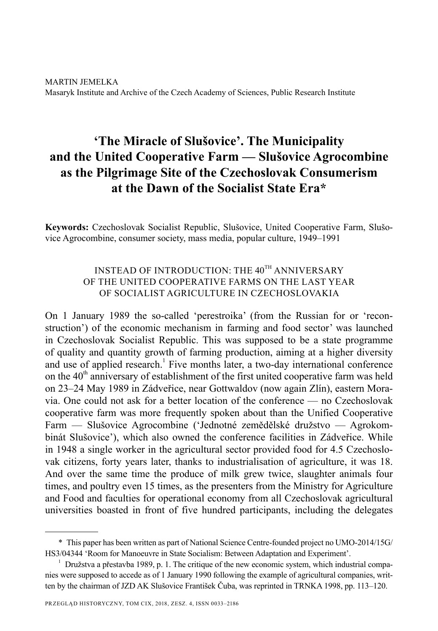# **'The Miracle of Slušovice'. The Municipality and the United Cooperative Farm — Slušovice Agrocombine as the Pilgrimage Site of the Czechoslovak Consumerism at the Dawn of the Socialist State Era\***

**Keywords:** Czechoslovak Socialist Republic, Slušovice, United Cooperative Farm, Slušovice Agrocombine, consumer society, mass media, popular culture, 1949–1991

# INSTEAD OF INTRODUCTION: THE 40<sup>TH</sup> ANNIVERSARY OF THE UNITED COOPERATIVE FARMS ON THE LAST YEAR OF SOCIALIST AGRICULTURE IN CZECHOSLOVAKIA

On 1 January 1989 the so-called 'perestroika' (from the Russian for or 'reconstruction') of the economic mechanism in farming and food sector' was launched in Czechoslovak Socialist Republic. This was supposed to be a state programme of quality and quantity growth of farming production, aiming at a higher diversity and use of applied research.<sup>1</sup> Five months later, a two-day international conference on the  $40<sup>th</sup>$  anniversary of establishment of the first united cooperative farm was held on 23–24 May 1989 in Zádveřice, near Gottwaldov (now again Zlín), eastern Moravia. One could not ask for a better location of the conference — no Czechoslovak cooperative farm was more frequently spoken about than the Unified Cooperative Farm — Slušovice Agrocombine ('Jednotné zemědělské družstvo — Agrokombinát Slušovice'), which also owned the conference facilities in Zádveřice. While in 1948 a single worker in the agricultural sector provided food for 4.5 Czechoslovak citizens, forty years later, thanks to industrialisation of agriculture, it was 18. And over the same time the produce of milk grew twice, slaughter animals four times, and poultry even 15 times, as the presenters from the Ministry for Agriculture and Food and faculties for operational economy from all Czechoslovak agricultural universities boasted in front of five hundred participants, including the delegates

<sup>\*</sup> This paper has been written as part of National Science Centre-founded project no UMO-2014/15G/ HS3/04344 'Room for Manoeuvre in State Socialism: Between Adaptation and Experiment'.

<sup>&</sup>lt;sup>1</sup> Družstva a přestavba 1989, p. 1. The critique of the new economic system, which industrial companies were supposed to accede as of 1 January 1990 following the example of agricultural companies, written by the chairman of JZD AK Slušovice František Čuba, was reprinted in TRNKA 1998, pp. 113–120.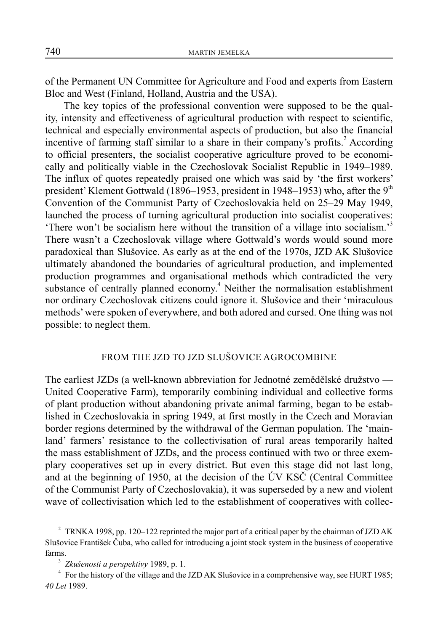of the Permanent UN Committee for Agriculture and Food and experts from Eastern Bloc and West (Finland, Holland, Austria and the USA).

The key topics of the professional convention were supposed to be the quality, intensity and effectiveness of agricultural production with respect to scientific, technical and especially environmental aspects of production, but also the financial incentive of farming staff similar to a share in their company's profits.<sup>2</sup> According to official presenters, the socialist cooperative agriculture proved to be economically and politically viable in the Czechoslovak Socialist Republic in 1949–1989. The influx of quotes repeatedly praised one which was said by 'the first workers' president' Klement Gottwald (1896–1953, president in 1948–1953) who, after the  $9<sup>th</sup>$ Convention of the Communist Party of Czechoslovakia held on 25–29 May 1949, launched the process of turning agricultural production into socialist cooperatives: 'There won't be socialism here without the transition of a village into socialism.'3 There wasn't a Czechoslovak village where Gottwald's words would sound more paradoxical than Slušovice. As early as at the end of the 1970s, JZD AK Slušovice ultimately abandoned the boundaries of agricultural production, and implemented production programmes and organisational methods which contradicted the very substance of centrally planned economy.<sup>4</sup> Neither the normalisation establishment nor ordinary Czechoslovak citizens could ignore it. Slušovice and their 'miraculous methods' were spoken of everywhere, and both adored and cursed. One thing was not possible: to neglect them.

## FROM THE JZD TO JZD SLUŠOVICE AGROCOMBINE

The earliest JZDs (a well-known abbreviation for Jednotné zemědělské družstvo — United Cooperative Farm), temporarily combining individual and collective forms of plant production without abandoning private animal farming, began to be established in Czechoslovakia in spring 1949, at first mostly in the Czech and Moravian border regions determined by the withdrawal of the German population. The 'mainland' farmers' resistance to the collectivisation of rural areas temporarily halted the mass establishment of JZDs, and the process continued with two or three exemplary cooperatives set up in every district. But even this stage did not last long, and at the beginning of 1950, at the decision of the ÚV KSČ (Central Committee of the Communist Party of Czechoslovakia), it was superseded by a new and violent wave of collectivisation which led to the establishment of cooperatives with collec-

<sup>&</sup>lt;sup>2</sup> TRNKA 1998, pp. 120–122 reprinted the major part of a critical paper by the chairman of JZD AK Slušovice František Čuba, who called for introducing a joint stock system in the business of cooperative farms.

<sup>3</sup> *Zkušenosti a perspektivy* 1989, p. 1.

<sup>&</sup>lt;sup>4</sup> For the history of the village and the JZD AK Slušovice in a comprehensive way, see HURT 1985; *40 Let* 1989.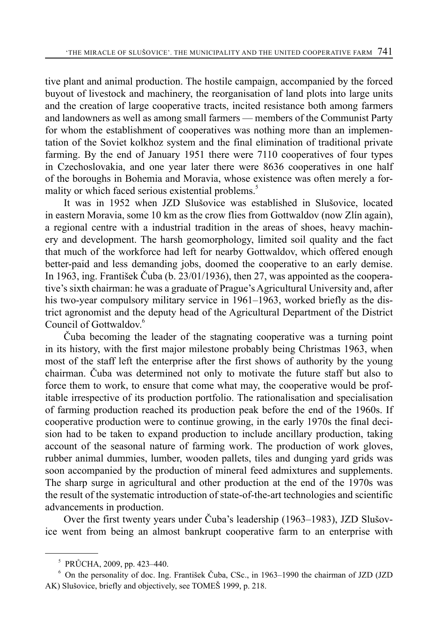tive plant and animal production. The hostile campaign, accompanied by the forced buyout of livestock and machinery, the reorganisation of land plots into large units and the creation of large cooperative tracts, incited resistance both among farmers and landowners as well as among small farmers — members of the Communist Party for whom the establishment of cooperatives was nothing more than an implementation of the Soviet kolkhoz system and the final elimination of traditional private farming. By the end of January 1951 there were 7110 cooperatives of four types in Czechoslovakia, and one year later there were 8636 cooperatives in one half of the boroughs in Bohemia and Moravia, whose existence was often merely a formality or which faced serious existential problems.<sup>5</sup>

It was in 1952 when JZD Slušovice was established in Slušovice, located in eastern Moravia, some 10 km as the crow flies from Gottwaldov (now Zlín again), a regional centre with a industrial tradition in the areas of shoes, heavy machinery and development. The harsh geomorphology, limited soil quality and the fact that much of the workforce had left for nearby Gottwaldov, which offered enough better-paid and less demanding jobs, doomed the cooperative to an early demise. In 1963, ing. František Čuba (b. 23/01/1936), then 27, was appointed as the cooperative's sixth chairman: he was a graduate of Prague's Agricultural University and, after his two-year compulsory military service in 1961–1963, worked briefly as the district agronomist and the deputy head of the Agricultural Department of the District Council of Gottwaldov.<sup>6</sup>

Čuba becoming the leader of the stagnating cooperative was a turning point in its history, with the first major milestone probably being Christmas 1963, when most of the staff left the enterprise after the first shows of authority by the young chairman. Čuba was determined not only to motivate the future staff but also to force them to work, to ensure that come what may, the cooperative would be profitable irrespective of its production portfolio. The rationalisation and specialisation of farming production reached its production peak before the end of the 1960s. If cooperative production were to continue growing, in the early 1970s the final decision had to be taken to expand production to include ancillary production, taking account of the seasonal nature of farming work. The production of work gloves, rubber animal dummies, lumber, wooden pallets, tiles and dunging yard grids was soon accompanied by the production of mineral feed admixtures and supplements. The sharp surge in agricultural and other production at the end of the 1970s was the result of the systematic introduction of state-of-the-art technologies and scientific advancements in production.

Over the first twenty years under Čuba's leadership (1963–1983), JZD Slušovice went from being an almost bankrupt cooperative farm to an enterprise with

<sup>5</sup> PRŮCHA, 2009, pp. 423–440.

<sup>6</sup> On the personality of doc. Ing. František Čuba, CSc., in 1963–1990 the chairman of JZD (JZD AK) Slušovice, briefly and objectively, see TOMEŠ 1999, p. 218.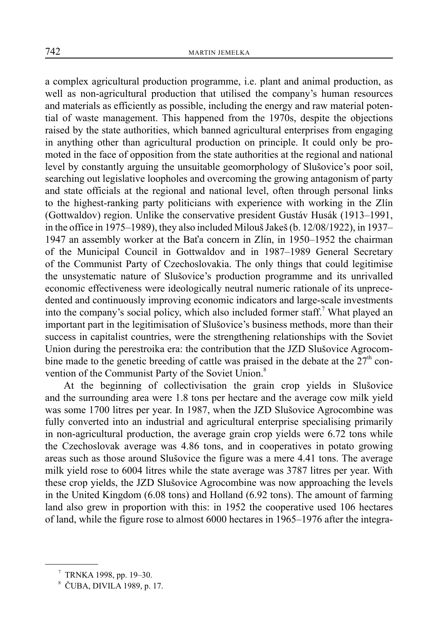a complex agricultural production programme, i.e. plant and animal production, as well as non-agricultural production that utilised the company's human resources and materials as efficiently as possible, including the energy and raw material potential of waste management. This happened from the 1970s, despite the objections raised by the state authorities, which banned agricultural enterprises from engaging in anything other than agricultural production on principle. It could only be promoted in the face of opposition from the state authorities at the regional and national level by constantly arguing the unsuitable geomorphology of Slušovice's poor soil, searching out legislative loopholes and overcoming the growing antagonism of party and state officials at the regional and national level, often through personal links to the highest-ranking party politicians with experience with working in the Zlín (Gottwaldov) region. Unlike the conservative president Gustáv Husák (1913–1991, in the office in 1975–1989), they also included Milouš Jakeš (b. 12/08/1922), in 1937– 1947 an assembly worker at the Baťa concern in Zlín, in 1950–1952 the chairman of the Municipal Council in Gottwaldov and in 1987–1989 General Secretary of the Communist Party of Czechoslovakia. The only things that could legitimise the unsystematic nature of Slušovice's production programme and its unrivalled economic effectiveness were ideologically neutral numeric rationale of its unprecedented and continuously improving economic indicators and large-scale investments into the company's social policy, which also included former staff.<sup>7</sup> What played an important part in the legitimisation of Slušovice's business methods, more than their success in capitalist countries, were the strengthening relationships with the Soviet Union during the perestroika era: the contribution that the JZD Slušovice Agrocombine made to the genetic breeding of cattle was praised in the debate at the  $27<sup>th</sup>$  convention of the Communist Party of the Soviet Union.<sup>8</sup>

At the beginning of collectivisation the grain crop yields in Slušovice and the surrounding area were 1.8 tons per hectare and the average cow milk yield was some 1700 litres per year. In 1987, when the JZD Slušovice Agrocombine was fully converted into an industrial and agricultural enterprise specialising primarily in non-agricultural production, the average grain crop yields were 6.72 tons while the Czechoslovak average was 4.86 tons, and in cooperatives in potato growing areas such as those around Slušovice the figure was a mere 4.41 tons. The average milk yield rose to 6004 litres while the state average was 3787 litres per year. With these crop yields, the JZD Slušovice Agrocombine was now approaching the levels in the United Kingdom (6.08 tons) and Holland (6.92 tons). The amount of farming land also grew in proportion with this: in 1952 the cooperative used 106 hectares of land, while the figure rose to almost 6000 hectares in 1965–1976 after the integra-

<sup>7</sup> TRNKA 1998, pp. 19–30.

<sup>8</sup> ČUBA, DIVILA 1989, p. 17.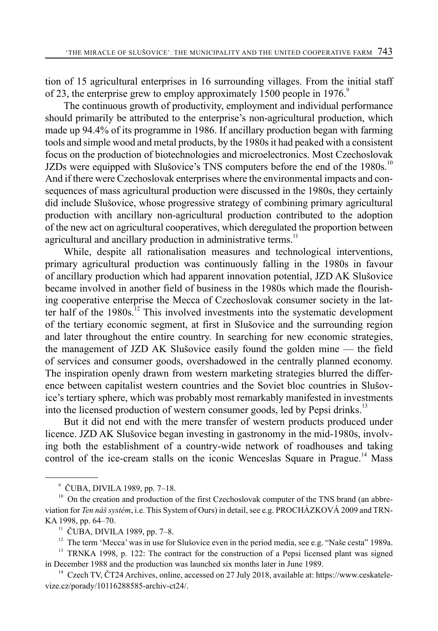tion of 15 agricultural enterprises in 16 surrounding villages. From the initial staff of 23, the enterprise grew to employ approximately 1500 people in 1976.<sup>9</sup>

The continuous growth of productivity, employment and individual performance should primarily be attributed to the enterprise's non-agricultural production, which made up 94.4% of its programme in 1986. If ancillary production began with farming tools and simple wood and metal products, by the 1980s it had peaked with a consistent focus on the production of biotechnologies and microelectronics. Most Czechoslovak JZDs were equipped with Slušovice's TNS computers before the end of the 1980s.<sup>10</sup> And if there were Czechoslovak enterprises where the environmental impacts and consequences of mass agricultural production were discussed in the 1980s, they certainly did include Slušovice, whose progressive strategy of combining primary agricultural production with ancillary non-agricultural production contributed to the adoption of the new act on agricultural cooperatives, which deregulated the proportion between agricultural and ancillary production in administrative terms.<sup>11</sup>

While, despite all rationalisation measures and technological interventions, primary agricultural production was continuously falling in the 1980s in favour of ancillary production which had apparent innovation potential, JZD AK Slušovice became involved in another field of business in the 1980s which made the flourishing cooperative enterprise the Mecca of Czechoslovak consumer society in the latter half of the  $1980s$ <sup>12</sup>. This involved investments into the systematic development of the tertiary economic segment, at first in Slušovice and the surrounding region and later throughout the entire country. In searching for new economic strategies, the management of JZD AK Slušovice easily found the golden mine — the field of services and consumer goods, overshadowed in the centrally planned economy. The inspiration openly drawn from western marketing strategies blurred the difference between capitalist western countries and the Soviet bloc countries in Slušovice's tertiary sphere, which was probably most remarkably manifested in investments into the licensed production of western consumer goods, led by Pepsi drinks.<sup>13</sup>

But it did not end with the mere transfer of western products produced under licence. JZD AK Slušovice began investing in gastronomy in the mid-1980s, involving both the establishment of a country-wide network of roadhouses and taking control of the ice-cream stalls on the iconic Wenceslas Square in Prague.<sup>14</sup> Mass

<sup>9</sup> ČUBA, DIVILA 1989, pp. 7–18.

<sup>&</sup>lt;sup>10</sup> On the creation and production of the first Czechoslovak computer of the TNS brand (an abbreviation for *Ten náš systém*, i.e. This System of Ours) in detail, see e.g. PROCHÁZKOVÁ 2009 and TRN-KA 1998, pp. 64–70.

 $11$  ČUBA, DIVILA 1989, pp. 7–8.

 $12$  The term 'Mecca' was in use for Slušovice even in the period media, see e.g. "Naše cesta" 1989a.

<sup>&</sup>lt;sup>13</sup> TRNKA 1998, p. 122: The contract for the construction of a Pepsi licensed plant was signed in December 1988 and the production was launched six months later in June 1989.

<sup>&</sup>lt;sup>14</sup> Czech TV, ČT24 Archives, online, accessed on 27 July 2018, available at: https://www.ceskatelevize.cz/porady/10116288585-archiv-ct24/.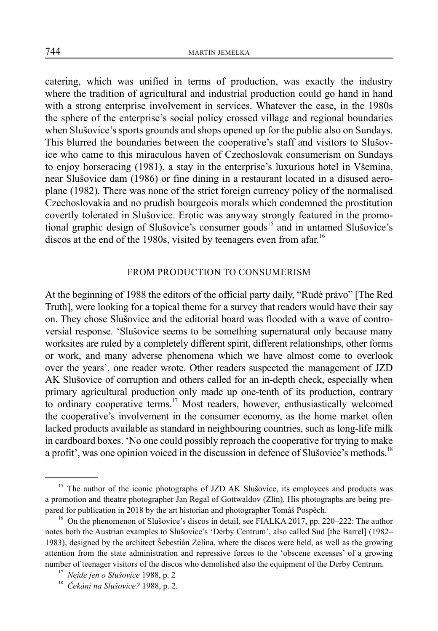catering, which was unified in terms of production, was exactly the industry where the tradition of agricultural and industrial production could go hand in hand with a strong enterprise involvement in services. Whatever the case, in the 1980s the sphere of the enterprise's social policy crossed village and regional boundaries when Slušovice's sports grounds and shops opened up for the public also on Sundays. This blurred the boundaries between the cooperative's staff and visitors to Slušovice who came to this miraculous haven of Czechoslovak consumerism on Sundays to enjoy horseracing (1981), a stay in the enterprise's luxurious hotel in Všemina, near Slušovice dam (1986) or fine dining in a restaurant located in a disused aeroplane (1982). There was none of the strict foreign currency policy of the normalised Czechoslovakia and no prudish bourgeois morals which condemned the prostitution covertly tolerated in Slušovice. Erotic was anyway strongly featured in the promotional graphic design of Slušovice's consumer goods<sup>15</sup> and in untamed Slušovice's discos at the end of the 1980s, visited by teenagers even from a far.<sup>16</sup>

#### FROM PRODUCTION TO CONSUMERISM

At the beginning of 1988 the editors of the official party daily, "Rudé právo" [The Red Truth], were looking for a topical theme for a survey that readers would have their say on. They chose Slušovice and the editorial board was flooded with a wave of controversial response. 'Slušovice seems to be something supernatural only because many worksites are ruled by a completely different spirit, different relationships, other forms or work, and many adverse phenomena which we have almost come to overlook over the years', one reader wrote. Other readers suspected the management of JZD AK Slušovice of corruption and others called for an in-depth check, especially when primary agricultural production only made up one-tenth of its production, contrary to ordinary cooperative terms.<sup>17</sup> Most readers, however, enthusiastically welcomed the cooperative's involvement in the consumer economy, as the home market often lacked products available as standard in neighbouring countries, such as long-life milk in cardboard boxes. 'No one could possibly reproach the cooperative for trying to make a profit', was one opinion voiced in the discussion in defence of Slušovice's methods.<sup>18</sup>

<sup>&</sup>lt;sup>15</sup> The author of the iconic photographs of JZD AK Slušovice, its employees and products was a promotion and theatre photographer Jan Regal of Gottwaldov (Zlín). His photographs are being prepared for publication in 2018 by the art historian and photographer Tomáš Pospěch.

<sup>&</sup>lt;sup>16</sup> On the phenomenon of Slušovice's discos in detail, see FIALKA 2017, pp. 220–222: The author notes both the Austrian examples to Slušovice's 'Derby Centrum', also called Sud [the Barrel] (1982– 1983), designed by the architect Šebestián Zelina, where the discos were held, as well as the growing attention from the state administration and repressive forces to the 'obscene excesses' of a growing number of teenager visitors of the discos who demolished also the equipment of the Derby Centrum.

<sup>17</sup> *Nejde jen o Slušovice* 1988, p. 2

<sup>18</sup> *Čekání na Slušovice?* 1988, p. 2.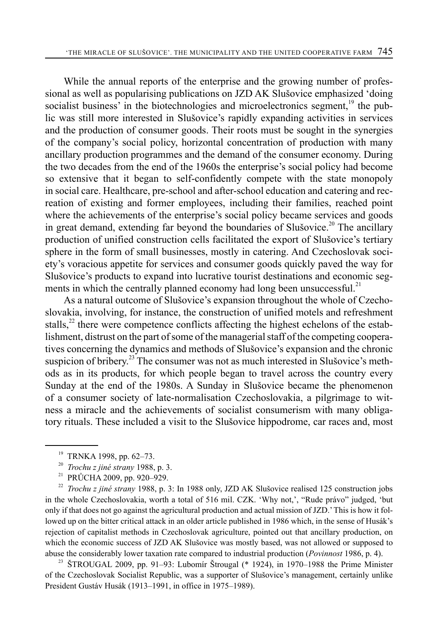While the annual reports of the enterprise and the growing number of professional as well as popularising publications on JZD AK Slušovice emphasized 'doing socialist business' in the biotechnologies and microelectronics segment,<sup>19</sup> the public was still more interested in Slušovice's rapidly expanding activities in services and the production of consumer goods. Their roots must be sought in the synergies of the company's social policy, horizontal concentration of production with many ancillary production programmes and the demand of the consumer economy. During the two decades from the end of the 1960s the enterprise's social policy had become so extensive that it began to self-confidently compete with the state monopoly in social care. Healthcare, pre-school and after-school education and catering and recreation of existing and former employees, including their families, reached point where the achievements of the enterprise's social policy became services and goods in great demand, extending far beyond the boundaries of Slušovice.<sup>20</sup> The ancillary production of unified construction cells facilitated the export of Slušovice's tertiary sphere in the form of small businesses, mostly in catering. And Czechoslovak society's voracious appetite for services and consumer goods quickly paved the way for Slušovice's products to expand into lucrative tourist destinations and economic segments in which the centrally planned economy had long been unsuccessful.<sup>21</sup>

As a natural outcome of Slušovice's expansion throughout the whole of Czechoslovakia, involving, for instance, the construction of unified motels and refreshment stalls, $^{22}$  there were competence conflicts affecting the highest echelons of the establishment, distrust on the part of some of the managerial staff of the competing cooperatives concerning the dynamics and methods of Slušovice's expansion and the chronic suspicion of bribery.<sup>23</sup> The consumer was not as much interested in Slušovice's methods as in its products, for which people began to travel across the country every Sunday at the end of the 1980s. A Sunday in Slušovice became the phenomenon of a consumer society of late-normalisation Czechoslovakia, a pilgrimage to witness a miracle and the achievements of socialist consumerism with many obligatory rituals. These included a visit to the Slušovice hippodrome, car races and, most

<sup>22</sup> *Trochu z jiné strany* 1988, p. 3: In 1988 only, JZD AK Slušovice realised 125 construction jobs in the whole Czechoslovakia, worth a total of 516 mil. CZK. 'Why not,', "Rude právo" judged, 'but only if that does not go against the agricultural production and actual mission of JZD.' This is how it followed up on the bitter critical attack in an older article published in 1986 which, in the sense of Husák's rejection of capitalist methods in Czechoslovak agriculture, pointed out that ancillary production, on which the economic success of JZD AK Slušovice was mostly based, was not allowed or supposed to abuse the considerably lower taxation rate compared to industrial production (*Povinnost* 1986, p. 4).

<sup>23</sup> ŠTROUGAL 2009, pp. 91–93: Lubomír Štrougal (\* 1924), in 1970–1988 the Prime Minister of the Czechoslovak Socialist Republic, was a supporter of Slušovice's management, certainly unlike President Gustáv Husák (1913–1991, in office in 1975–1989).

<sup>19</sup> TRNKA 1998, pp. 62–73.

<sup>20</sup> *Trochu z jiné strany* 1988, p. 3.

<sup>&</sup>lt;sup>21</sup> PRŮCHA 2009, pp. 920–929.<br><sup>22</sup> *Trochu z jiné strany* 1988 p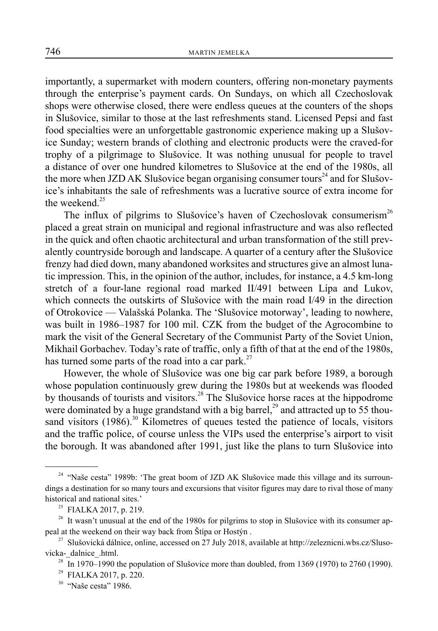importantly, a supermarket with modern counters, offering non-monetary payments through the enterprise's payment cards. On Sundays, on which all Czechoslovak shops were otherwise closed, there were endless queues at the counters of the shops in Slušovice, similar to those at the last refreshments stand. Licensed Pepsi and fast food specialties were an unforgettable gastronomic experience making up a Slušovice Sunday; western brands of clothing and electronic products were the craved-for trophy of a pilgrimage to Slušovice. It was nothing unusual for people to travel a distance of over one hundred kilometres to Slušovice at the end of the 1980s, all the more when JZD AK Slušovice began organising consumer tours<sup>24</sup> and for Slušovice's inhabitants the sale of refreshments was a lucrative source of extra income for the weekend.<sup>25</sup>

The influx of pilgrims to Slušovice's haven of Czechoslovak consumerism<sup>26</sup> placed a great strain on municipal and regional infrastructure and was also reflected in the quick and often chaotic architectural and urban transformation of the still prevalently countryside borough and landscape. A quarter of a century after the Slušovice frenzy had died down, many abandoned worksites and structures give an almost lunatic impression. This, in the opinion of the author, includes, for instance, a 4.5 km-long stretch of a four-lane regional road marked II/491 between Lípa and Lukov, which connects the outskirts of Slušovice with the main road I/49 in the direction of Otrokovice — Valašská Polanka. The 'Slušovice motorway', leading to nowhere, was built in 1986–1987 for 100 mil. CZK from the budget of the Agrocombine to mark the visit of the General Secretary of the Communist Party of the Soviet Union, Mikhail Gorbachev. Today's rate of traffic, only a fifth of that at the end of the 1980s, has turned some parts of the road into a car park.<sup>27</sup>

However, the whole of Slušovice was one big car park before 1989, a borough whose population continuously grew during the 1980s but at weekends was flooded by thousands of tourists and visitors.<sup>28</sup> The Slušovice horse races at the hippodrome were dominated by a huge grandstand with a big barrel,<sup>29</sup> and attracted up to 55 thousand visitors  $(1986)$ <sup>30</sup> Kilometres of queues tested the patience of locals, visitors and the traffic police, of course unless the VIPs used the enterprise's airport to visit the borough. It was abandoned after 1991, just like the plans to turn Slušovice into

<sup>&</sup>lt;sup>24</sup> "Naše cesta" 1989b: 'The great boom of JZD AK Slušovice made this village and its surroundings a destination for so many tours and excursions that visitor figures may dare to rival those of many historical and national sites.'

<sup>&</sup>lt;sup>25</sup> FIALKA 2017, p. 219.

<sup>&</sup>lt;sup>26</sup> It wasn't unusual at the end of the 1980s for pilgrims to stop in Slušovice with its consumer appeal at the weekend on their way back from Štípa or Hostýn .

<sup>&</sup>lt;sup>27</sup> Slušovická dálnice, online, accessed on 27 July 2018, available at http://zeleznicni.wbs.cz/Slusovicka- dalnice .html.

<sup>&</sup>lt;sup>28</sup> In 1970–1990 the population of Slušovice more than doubled, from 1369 (1970) to 2760 (1990).

<sup>29</sup> FIALKA 2017, p. 220.

<sup>&</sup>lt;sup>30</sup> "Naše cesta" 1986.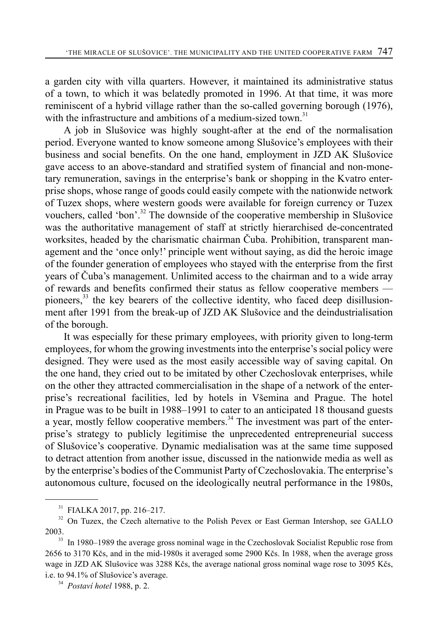a garden city with villa quarters. However, it maintained its administrative status of a town, to which it was belatedly promoted in 1996. At that time, it was more reminiscent of a hybrid village rather than the so-called governing borough (1976), with the infrastructure and ambitions of a medium-sized town.<sup>31</sup>

A job in Slušovice was highly sought-after at the end of the normalisation period. Everyone wanted to know someone among Slušovice's employees with their business and social benefits. On the one hand, employment in JZD AK Slušovice gave access to an above-standard and stratified system of financial and non-monetary remuneration, savings in the enterprise's bank or shopping in the Kvatro enterprise shops, whose range of goods could easily compete with the nationwide network of Tuzex shops, where western goods were available for foreign currency or Tuzex vouchers, called 'bon'.<sup>32</sup> The downside of the cooperative membership in Slušovice was the authoritative management of staff at strictly hierarchised de-concentrated worksites, headed by the charismatic chairman Čuba. Prohibition, transparent management and the 'once only!' principle went without saying, as did the heroic image of the founder generation of employees who stayed with the enterprise from the first years of Čuba's management. Unlimited access to the chairman and to a wide array of rewards and benefits confirmed their status as fellow cooperative members pioneers,<sup>33</sup> the key bearers of the collective identity, who faced deep disillusionment after 1991 from the break-up of JZD AK Slušovice and the deindustrialisation of the borough.

It was especially for these primary employees, with priority given to long-term employees, for whom the growing investments into the enterprise's social policy were designed. They were used as the most easily accessible way of saving capital. On the one hand, they cried out to be imitated by other Czechoslovak enterprises, while on the other they attracted commercialisation in the shape of a network of the enterprise's recreational facilities, led by hotels in Všemina and Prague. The hotel in Prague was to be built in 1988–1991 to cater to an anticipated 18 thousand guests a year, mostly fellow cooperative members. $34$  The investment was part of the enterprise's strategy to publicly legitimise the unprecedented entrepreneurial success of Slušovice's cooperative. Dynamic medialisation was at the same time supposed to detract attention from another issue, discussed in the nationwide media as well as by the enterprise's bodies of the Communist Party of Czechoslovakia. The enterprise's autonomous culture, focused on the ideologically neutral performance in the 1980s,

<sup>31</sup> FIALKA 2017, pp. 216–217.

<sup>&</sup>lt;sup>32</sup> On Tuzex, the Czech alternative to the Polish Pevex or East German Intershop, see GALLO 2003.

<sup>&</sup>lt;sup>33</sup> In 1980–1989 the average gross nominal wage in the Czechoslovak Socialist Republic rose from 2656 to 3170 Kčs, and in the mid-1980s it averaged some 2900 Kčs. In 1988, when the average gross wage in JZD AK Slušovice was 3288 Kčs, the average national gross nominal wage rose to 3095 Kčs, i.e. to 94.1% of Slušovice's average.

<sup>34</sup> *Postaví hotel* 1988, p. 2.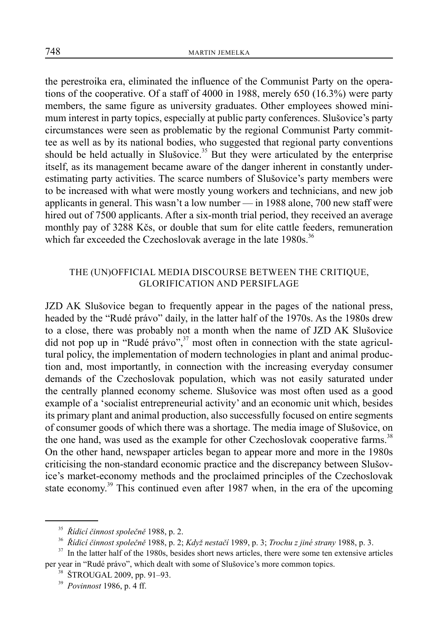the perestroika era, eliminated the influence of the Communist Party on the operations of the cooperative. Of a staff of 4000 in 1988, merely 650 (16.3%) were party members, the same figure as university graduates. Other employees showed minimum interest in party topics, especially at public party conferences. Slušovice's party circumstances were seen as problematic by the regional Communist Party committee as well as by its national bodies, who suggested that regional party conventions should be held actually in Slušovice.<sup>35</sup> But they were articulated by the enterprise itself, as its management became aware of the danger inherent in constantly underestimating party activities. The scarce numbers of Slušovice's party members were to be increased with what were mostly young workers and technicians, and new job applicants in general. This wasn't a low number — in 1988 alone, 700 new staff were hired out of 7500 applicants. After a six-month trial period, they received an average monthly pay of 3288 Kčs, or double that sum for elite cattle feeders, remuneration which far exceeded the Czechoslovak average in the late 1980s.<sup>36</sup>

## THE (UN)OFFICIAL MEDIA DISCOURSE BETWEEN THE CRITIQUE, GLORIFICATION AND PERSIFLAGE

JZD AK Slušovice began to frequently appear in the pages of the national press, headed by the "Rudé právo" daily, in the latter half of the 1970s. As the 1980s drew to a close, there was probably not a month when the name of JZD AK Slušovice did not pop up in "Rudé právo",<sup>37</sup> most often in connection with the state agricultural policy, the implementation of modern technologies in plant and animal production and, most importantly, in connection with the increasing everyday consumer demands of the Czechoslovak population, which was not easily saturated under the centrally planned economy scheme. Slušovice was most often used as a good example of a 'socialist entrepreneurial activity' and an economic unit which, besides its primary plant and animal production, also successfully focused on entire segments of consumer goods of which there was a shortage. The media image of Slušovice, on the one hand, was used as the example for other Czechoslovak cooperative farms.<sup>38</sup> On the other hand, newspaper articles began to appear more and more in the 1980s criticising the non-standard economic practice and the discrepancy between Slušovice's market-economy methods and the proclaimed principles of the Czechoslovak state economy.<sup>39</sup> This continued even after 1987 when, in the era of the upcoming

<sup>35</sup> *Řídicí činnost společně* 1988, p. 2.

<sup>36</sup> *Řídicí činnost společně* 1988, p. 2; *Když nestačí* 1989, p. 3; *Trochu z jiné strany* 1988, p. 3.

<sup>&</sup>lt;sup>37</sup> In the latter half of the 1980s, besides short news articles, there were some ten extensive articles per year in "Rudé právo", which dealt with some of Slušovice's more common topics.

 $38$  ŠTROUGAL 2009, pp. 91–93.

<sup>39</sup> *Povinnost* 1986, p. 4 ff.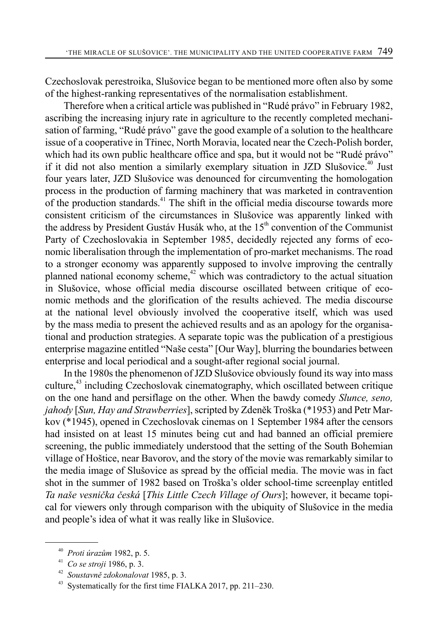Czechoslovak perestroika, Slušovice began to be mentioned more often also by some of the highest-ranking representatives of the normalisation establishment.

Therefore when a critical article was published in "Rudé právo" in February 1982, ascribing the increasing injury rate in agriculture to the recently completed mechanisation of farming, "Rudé právo" gave the good example of a solution to the healthcare issue of a cooperative in Třinec, North Moravia, located near the Czech-Polish border, which had its own public healthcare office and spa, but it would not be "Rudé právo" if it did not also mention a similarly exemplary situation in JZD Slušovice.<sup> $40$ </sup> Just four years later, JZD Slušovice was denounced for circumventing the homologation process in the production of farming machinery that was marketed in contravention of the production standards.<sup> $41$ </sup> The shift in the official media discourse towards more consistent criticism of the circumstances in Slušovice was apparently linked with the address by President Gustáv Husák who, at the 15<sup>th</sup> convention of the Communist Party of Czechoslovakia in September 1985, decidedly rejected any forms of economic liberalisation through the implementation of pro-market mechanisms. The road to a stronger economy was apparently supposed to involve improving the centrally planned national economy scheme, $42$  which was contradictory to the actual situation in Slušovice, whose official media discourse oscillated between critique of economic methods and the glorification of the results achieved. The media discourse at the national level obviously involved the cooperative itself, which was used by the mass media to present the achieved results and as an apology for the organisational and production strategies. A separate topic was the publication of a prestigious enterprise magazine entitled "Naše cesta" [Our Way], blurring the boundaries between enterprise and local periodical and a sought-after regional social journal.

In the 1980s the phenomenon of JZD Slušovice obviously found its way into mass culture,<sup>43</sup> including Czechoslovak cinematography, which oscillated between critique on the one hand and persiflage on the other. When the bawdy comedy *Slunce, seno, jahody* [*Sun, Hay and Strawberries*], scripted by Zdeněk Troška (\*1953) and Petr Markov (\*1945), opened in Czechoslovak cinemas on 1 September 1984 after the censors had insisted on at least 15 minutes being cut and had banned an official premiere screening, the public immediately understood that the setting of the South Bohemian village of Hoštice, near Bavorov, and the story of the movie was remarkably similar to the media image of Slušovice as spread by the official media. The movie was in fact shot in the summer of 1982 based on Troška's older school-time screenplay entitled *Ta naše vesnička česká* [*This Little Czech Village of Ours*]; however, it became topical for viewers only through comparison with the ubiquity of Slušovice in the media and people's idea of what it was really like in Slušovice.

<sup>40</sup> *Proti úrazům* 1982, p. 5.

<sup>41</sup> *Co se stroji* 1986, p. 3.

<sup>42</sup> *Soustavně zdokonalovat* 1985, p. 3.

Systematically for the first time FIALKA 2017, pp. 211–230.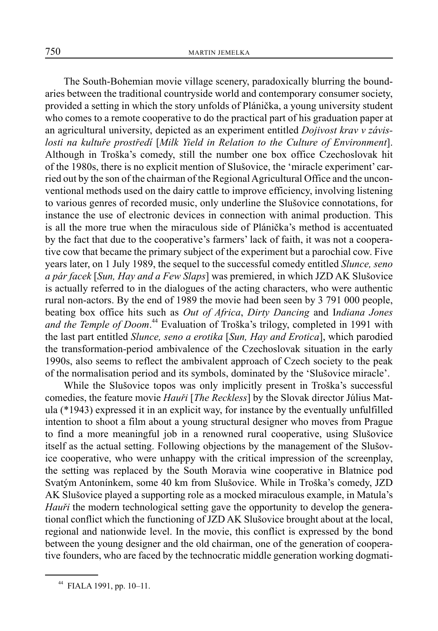The South-Bohemian movie village scenery, paradoxically blurring the boundaries between the traditional countryside world and contemporary consumer society, provided a setting in which the story unfolds of Plánička, a young university student who comes to a remote cooperative to do the practical part of his graduation paper at an agricultural university, depicted as an experiment entitled *Dojivost krav v závislosti na kultuře prostředí* [*Milk Yield in Relation to the Culture of Environment*]. Although in Troška's comedy, still the number one box office Czechoslovak hit of the 1980s, there is no explicit mention of Slušovice, the 'miracle experiment' carried out by the son of the chairman of the Regional Agricultural Office and the unconventional methods used on the dairy cattle to improve efficiency, involving listening to various genres of recorded music, only underline the Slušovice connotations, for instance the use of electronic devices in connection with animal production. This is all the more true when the miraculous side of Plánička's method is accentuated by the fact that due to the cooperative's farmers' lack of faith, it was not a cooperative cow that became the primary subject of the experiment but a parochial cow. Five years later, on 1 July 1989, the sequel to the successful comedy entitled *Slunce, seno a pár facek* [*Sun, Hay and a Few Slaps*] was premiered, in which JZD AK Slušovice is actually referred to in the dialogues of the acting characters, who were authentic rural non-actors. By the end of 1989 the movie had been seen by 3 791 000 people, beating box office hits such as *Out of Africa*, *Dirty Dancing* and I*ndiana Jones*  and the Temple of Doom.<sup>44</sup> Evaluation of Troška's trilogy, completed in 1991 with the last part entitled *Slunce, seno a erotika* [*Sun, Hay and Erotica*], which parodied the transformation-period ambivalence of the Czechoslovak situation in the early 1990s, also seems to reflect the ambivalent approach of Czech society to the peak of the normalisation period and its symbols, dominated by the 'Slušovice miracle'.

While the Slušovice topos was only implicitly present in Troška's successful comedies, the feature movie *Hauři* [*The Reckless*] by the Slovak director Július Matula (\*1943) expressed it in an explicit way, for instance by the eventually unfulfilled intention to shoot a film about a young structural designer who moves from Prague to find a more meaningful job in a renowned rural cooperative, using Slušovice itself as the actual setting. Following objections by the management of the Slušovice cooperative, who were unhappy with the critical impression of the screenplay, the setting was replaced by the South Moravia wine cooperative in Blatnice pod Svatým Antonínkem, some 40 km from Slušovice. While in Troška's comedy, JZD AK Slušovice played a supporting role as a mocked miraculous example, in Matula's *Hauři* the modern technological setting gave the opportunity to develop the generational conflict which the functioning of JZD AK Slušovice brought about at the local, regional and nationwide level. In the movie, this conflict is expressed by the bond between the young designer and the old chairman, one of the generation of cooperative founders, who are faced by the technocratic middle generation working dogmati-

<sup>44</sup> FIALA 1991, pp. 10–11.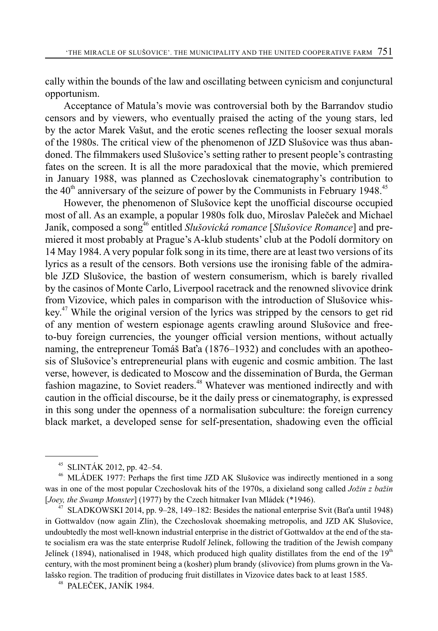cally within the bounds of the law and oscillating between cynicism and conjunctural opportunism.

Acceptance of Matula's movie was controversial both by the Barrandov studio censors and by viewers, who eventually praised the acting of the young stars, led by the actor Marek Vašut, and the erotic scenes reflecting the looser sexual morals of the 1980s. The critical view of the phenomenon of JZD Slušovice was thus abandoned. The filmmakers used Slušovice's setting rather to present people's contrasting fates on the screen. It is all the more paradoxical that the movie, which premiered in January 1988, was planned as Czechoslovak cinematography's contribution to the  $40<sup>th</sup>$  anniversary of the seizure of power by the Communists in February 1948.<sup>45</sup>

However, the phenomenon of Slušovice kept the unofficial discourse occupied most of all. As an example, a popular 1980s folk duo, Miroslav Paleček and Michael Janík, composed a song<sup>46</sup> entitled *Slušovická romance* [*Slušovice Romance*] and premiered it most probably at Prague's A-klub students' club at the Podolí dormitory on 14 May 1984. A very popular folk song in its time, there are at least two versions of its lyrics as a result of the censors. Both versions use the ironising fable of the admirable JZD Slušovice, the bastion of western consumerism, which is barely rivalled by the casinos of Monte Carlo, Liverpool racetrack and the renowned slivovice drink from Vizovice, which pales in comparison with the introduction of Slušovice whiskey.<sup>47</sup> While the original version of the lyrics was stripped by the censors to get rid of any mention of western espionage agents crawling around Slušovice and freeto-buy foreign currencies, the younger official version mentions, without actually naming, the entrepreneur Tomáš Baťa (1876–1932) and concludes with an apotheosis of Slušovice's entrepreneurial plans with eugenic and cosmic ambition. The last verse, however, is dedicated to Moscow and the dissemination of Burda, the German fashion magazine, to Soviet readers.<sup>48</sup> Whatever was mentioned indirectly and with caution in the official discourse, be it the daily press or cinematography, is expressed in this song under the openness of a normalisation subculture: the foreign currency black market, a developed sense for self-presentation, shadowing even the official

<sup>45</sup> SLINTÁK 2012, pp. 42–54.

<sup>&</sup>lt;sup>46</sup> MLÁDEK 1977: Perhaps the first time JZD AK Slušovice was indirectly mentioned in a song was in one of the most popular Czechoslovak hits of the 1970s, a dixieland song called *Jožin z bažin*  [*Joey, the Swamp Monster*] (1977) by the Czech hitmaker Ivan Mládek (\*1946).

 $47$  SLADKOWSKI 2014, pp. 9–28, 149–182: Besides the national enterprise Svit (Baťa until 1948) in Gottwaldov (now again Zlín), the Czechoslovak shoemaking metropolis, and JZD AK Slušovice, undoubtedly the most well-known industrial enterprise in the district of Gottwaldov at the end of the state socialism era was the state enterprise Rudolf Jelínek, following the tradition of the Jewish company Jelínek (1894), nationalised in 1948, which produced high quality distillates from the end of the  $19<sup>th</sup>$ century, with the most prominent being a (kosher) plum brandy (slivovice) from plums grown in the Valašsko region. The tradition of producing fruit distillates in Vizovice dates back to at least 1585.

<sup>48</sup> PALEČEK, JANÍK 1984.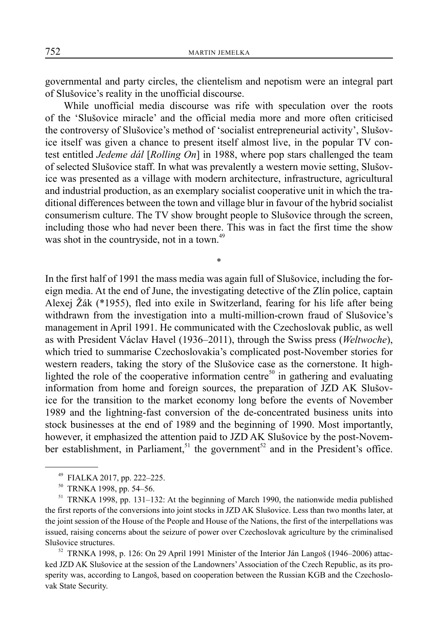governmental and party circles, the clientelism and nepotism were an integral part of Slušovice's reality in the unofficial discourse.

While unofficial media discourse was rife with speculation over the roots of the 'Slušovice miracle' and the official media more and more often criticised the controversy of Slušovice's method of 'socialist entrepreneurial activity', Slušovice itself was given a chance to present itself almost live, in the popular TV contest entitled *Jedeme dál* [*Rolling On*] in 1988, where pop stars challenged the team of selected Slušovice staff. In what was prevalently a western movie setting, Slušovice was presented as a village with modern architecture, infrastructure, agricultural and industrial production, as an exemplary socialist cooperative unit in which the traditional differences between the town and village blur in favour of the hybrid socialist consumerism culture. The TV show brought people to Slušovice through the screen, including those who had never been there. This was in fact the first time the show was shot in the countryside, not in a town.<sup>49</sup>

\*

In the first half of 1991 the mass media was again full of Slušovice, including the foreign media. At the end of June, the investigating detective of the Zlín police, captain Alexej Žák (\*1955), fled into exile in Switzerland, fearing for his life after being withdrawn from the investigation into a multi-million-crown fraud of Slušovice's management in April 1991. He communicated with the Czechoslovak public, as well as with President Václav Havel (1936–2011), through the Swiss press (*Weltwoche*), which tried to summarise Czechoslovakia's complicated post-November stories for western readers, taking the story of the Slušovice case as the cornerstone. It highlighted the role of the cooperative information centre<sup>50</sup> in gathering and evaluating information from home and foreign sources, the preparation of JZD AK Slušovice for the transition to the market economy long before the events of November 1989 and the lightning-fast conversion of the de-concentrated business units into stock businesses at the end of 1989 and the beginning of 1990. Most importantly, however, it emphasized the attention paid to JZD AK Slušovice by the post-November establishment, in Parliament,<sup>51</sup> the government<sup>52</sup> and in the President's office.

52 TRNKA 1998, p. 126: On 29 April 1991 Minister of the Interior Ján Langoš (1946–2006) attacked JZD AK Slušovice at the session of the Landowners' Association of the Czech Republic, as its prosperity was, according to Langoš, based on cooperation between the Russian KGB and the Czechoslovak State Security.

<sup>49</sup> FIALKA 2017, pp. 222–225.

<sup>&</sup>lt;sup>50</sup> TRNKA 1998, pp. 54–56.

<sup>&</sup>lt;sup>51</sup> TRNKA 1998, pp. 131–132: At the beginning of March 1990, the nationwide media published the first reports of the conversions into joint stocks in JZD AK Slušovice. Less than two months later, at the joint session of the House of the People and House of the Nations, the first of the interpellations was issued, raising concerns about the seizure of power over Czechoslovak agriculture by the criminalised Slušovice structures.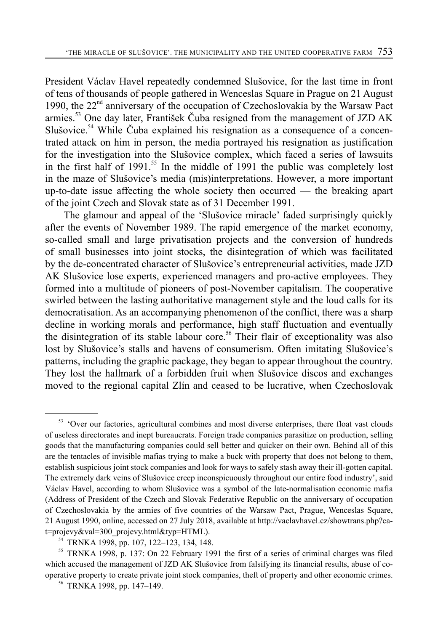President Václav Havel repeatedly condemned Slušovice, for the last time in front of tens of thousands of people gathered in Wenceslas Square in Prague on 21 August 1990, the  $22<sup>nd</sup>$  anniversary of the occupation of Czechoslovakia by the Warsaw Pact armies.<sup>53</sup> One day later, František Čuba resigned from the management of JZD AK Slušovice.<sup>54</sup> While Čuba explained his resignation as a consequence of a concentrated attack on him in person, the media portrayed his resignation as justification for the investigation into the Slušovice complex, which faced a series of lawsuits in the first half of 1991.<sup>55</sup> In the middle of 1991 the public was completely lost in the maze of Slušovice's media (mis)interpretations. However, a more important up-to-date issue affecting the whole society then occurred — the breaking apart of the joint Czech and Slovak state as of 31 December 1991.

The glamour and appeal of the 'Slušovice miracle' faded surprisingly quickly after the events of November 1989. The rapid emergence of the market economy, so-called small and large privatisation projects and the conversion of hundreds of small businesses into joint stocks, the disintegration of which was facilitated by the de-concentrated character of Slušovice's entrepreneurial activities, made JZD AK Slušovice lose experts, experienced managers and pro-active employees. They formed into a multitude of pioneers of post-November capitalism. The cooperative swirled between the lasting authoritative management style and the loud calls for its democratisation. As an accompanying phenomenon of the conflict, there was a sharp decline in working morals and performance, high staff fluctuation and eventually the disintegration of its stable labour core.<sup>56</sup> Their flair of exceptionality was also lost by Slušovice's stalls and havens of consumerism. Often imitating Slušovice's patterns, including the graphic package, they began to appear throughout the country. They lost the hallmark of a forbidden fruit when Slušovice discos and exchanges moved to the regional capital Zlín and ceased to be lucrative, when Czechoslovak

<sup>&</sup>lt;sup>53</sup> 'Over our factories, agricultural combines and most diverse enterprises, there float vast clouds of useless directorates and inept bureaucrats. Foreign trade companies parasitize on production, selling goods that the manufacturing companies could sell better and quicker on their own. Behind all of this are the tentacles of invisible mafias trying to make a buck with property that does not belong to them, establish suspicious joint stock companies and look for ways to safely stash away their ill-gotten capital. The extremely dark veins of Slušovice creep inconspicuously throughout our entire food industry', said Václav Havel, according to whom Slušovice was a symbol of the late-normalisation economic mafia (Address of President of the Czech and Slovak Federative Republic on the anniversary of occupation of Czechoslovakia by the armies of five countries of the Warsaw Pact, Prague, Wenceslas Square, 21 August 1990, online, accessed on 27 July 2018, available at http://vaclavhavel.cz/showtrans.php?cat=projevy&val=300\_projevy.html&typ=HTML).

<sup>54</sup> TRNKA 1998, pp. 107, 122–123, 134, 148.

<sup>55</sup> TRNKA 1998, p. 137: On 22 February 1991 the first of a series of criminal charges was filed which accused the management of JZD AK Slušovice from falsifying its financial results, abuse of cooperative property to create private joint stock companies, theft of property and other economic crimes.

<sup>56</sup> TRNKA 1998, pp. 147–149.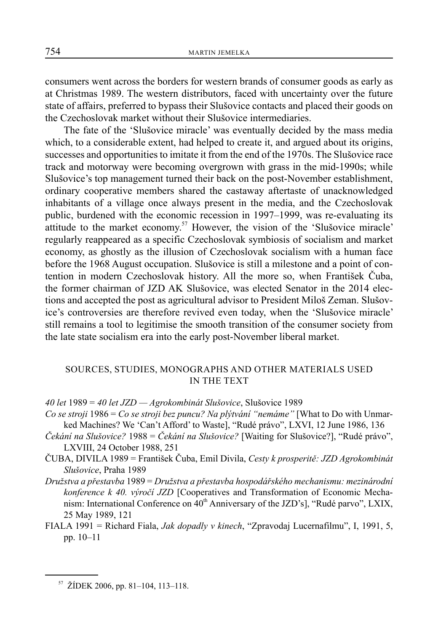consumers went across the borders for western brands of consumer goods as early as at Christmas 1989. The western distributors, faced with uncertainty over the future state of affairs, preferred to bypass their Slušovice contacts and placed their goods on the Czechoslovak market without their Slušovice intermediaries.

The fate of the 'Slušovice miracle' was eventually decided by the mass media which, to a considerable extent, had helped to create it, and argued about its origins, successes and opportunities to imitate it from the end of the 1970s. The Slušovice race track and motorway were becoming overgrown with grass in the mid-1990s; while Slušovice's top management turned their back on the post-November establishment, ordinary cooperative members shared the castaway aftertaste of unacknowledged inhabitants of a village once always present in the media, and the Czechoslovak public, burdened with the economic recession in 1997–1999, was re-evaluating its attitude to the market economy.<sup>57</sup> However, the vision of the 'Slušovice miracle' regularly reappeared as a specific Czechoslovak symbiosis of socialism and market economy, as ghostly as the illusion of Czechoslovak socialism with a human face before the 1968 August occupation. Slušovice is still a milestone and a point of contention in modern Czechoslovak history. All the more so, when František Čuba, the former chairman of JZD AK Slušovice, was elected Senator in the 2014 elections and accepted the post as agricultural advisor to President Miloš Zeman. Slušovice's controversies are therefore revived even today, when the 'Slušovice miracle' still remains a tool to legitimise the smooth transition of the consumer society from the late state socialism era into the early post-November liberal market.

#### SOURCES, STUDIES, MONOGRAPHS AND OTHER MATERIALS USED IN THE TEXT

*40 let* 1989 = *40 let JZD — Agrokombinát Slušovice*, Slušovice 1989

- *Co se stroji* 1986 = *Co se stroji bez puncu? Na plýtvání "nemáme"* [What to Do with Unmarked Machines? We 'Can't Afford' to Waste], "Rudé právo", LXVI, 12 June 1986, 136
- *Čekání na Slušovice?* 1988 = *Čekání na Slušovice?* [Waiting for Slušovice?], "Rudé právo", LXVIII, 24 October 1988, 251
- ČUBA, DIVILA 1989 = František Čuba, Emil Divila, *Cesty k prosperitě: JZD Agrokombinát Slušovice*, Praha 1989
- *Družstva a přestavba* 1989 = *Družstva a přestavba hospodářského mechanismu: mezinárodní konference k 40. výročí JZD* [Cooperatives and Transformation of Economic Mechanism: International Conference on  $40<sup>th</sup>$  Anniversary of the JZD's], "Rudé parvo", LXIX, 25 May 1989, 121
- FIALA 1991 = Richard Fiala, *Jak dopadly v kinech*, "Zpravodaj Lucernafilmu", I, 1991, 5, pp. 10–11

<sup>57</sup> ŽÍDEK 2006, pp. 81–104, 113–118.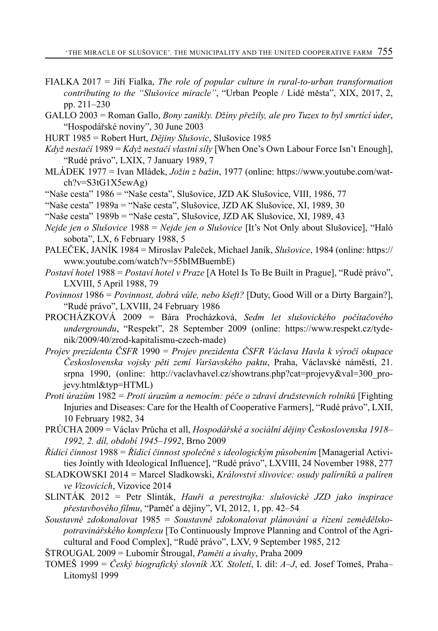- FIALKA 2017 = Jiří Fialka, *The role of popular culture in rural-to-urban transformation contributing to the "Slušovice miracle"*, "Urban People / Lidé města", XIX, 2017, 2, pp. 211–230
- GALLO 2003 = Roman Gallo, *Bony zanikly. Džíny přežily, ale pro Tuzex to byl smrtící úder*, "Hospodářské noviny", 30 June 2003
- HURT 1985 = Robert Hurt, *Dějiny Slušovic*, Slušovice 1985
- *Když nestačí* 1989 = *Když nestačí vlastní síly* [When One's Own Labour Force Isn't Enough], "Rudé právo", LXIX, 7 January 1989, 7
- MLÁDEK 1977 = Ivan Mládek, *Jožin z bažin*, 1977 (online: https://www.youtube.com/watch?v=S3tG1X5ewAg)
- "Naše cesta" 1986 = "Naše cesta", Slušovice, JZD AK Slušovice, VIII, 1986, 77

"Naše cesta" 1989a = "Naše cesta", Slušovice, JZD AK Slušovice, XI, 1989, 30

"Naše cesta" 1989b = "Naše cesta", Slušovice, JZD AK Slušovice, XI, 1989, 43

- *Nejde jen o Slušovice* 1988 = *Nejde jen o Slušovice* [It's Not Only about Slušovice], "Haló sobota", LX, 6 February 1988, 5
- PALEČEK, JANÍK 1984 = Miroslav Paleček, Michael Janík, *Slušovice*, 1984 (online: https:// www.youtube.com/watch?v=55bIMBuembE)
- *Postaví hotel* 1988 = *Postaví hotel v Praze* [A Hotel Is To Be Built in Prague], "Rudé právo", LXVIII, 5 April 1988, 79
- *Povinnost* 1986 = *Povinnost, dobrá vůle, nebo kšeft?* [Duty, Good Will or a Dirty Bargain?], "Rudé právo", LXVIII, 24 February 1986
- PROCHÁZKOVÁ 2009 = Bára Procházková, *Sedm let slušovického počítačového undergroundu*, "Respekt", 28 September 2009 (online: https://www.respekt.cz/tydenik/2009/40/zrod-kapitalismu-czech-made)
- *Projev prezidenta ČSFR* 1990 = *Projev prezidenta ČSFR Václava Havla k výročí okupace Československa vojsky pěti zemí Varšavského paktu*, Praha, Václavské náměstí, 21. srpna 1990, (online: http://vaclavhavel.cz/showtrans.php?cat=projevy&val=300 projevy.html&typ=HTML)
- *Proti úrazům* 1982 = *Proti úrazům a nemocím: péče o zdraví družstevních rolníků* [Fighting Injuries and Diseases: Care for the Health of Cooperative Farmers], "Rudé právo", LXII, 10 February 1982, 34
- PRŮCHA 2009 = Václav Průcha et all, *Hospodářské a sociální dějiny Československa 1918– 1992, 2. díl, období 1945–1992*, Brno 2009
- *Řídicí činnost* 1988 = *Řídicí činnost společně s ideologickým působením* [Managerial Activities Jointly with Ideological Influence], "Rudé právo", LXVIII, 24 November 1988, 277
- SLADKOWSKI 2014 = Marcel Sladkowski, *Království slivovice: osudy palírníků a palíren ve Vizovicích*, Vizovice 2014
- SLINTÁK 2012 = Petr Slinták, *Hauři a perestrojka: slušovické JZD jako inspirace přestavbového filmu*, "Paměť a dějiny", VI, 2012, 1, pp. 42–54
- *Soustavně zdokonalovat* 1985 = *Soustavně zdokonalovat plánování a řízení zemědělskopotravinářského komplexu* [To Continuously Improve Planning and Control of the Agricultural and Food Complex], "Rudé právo", LXV, 9 September 1985, 212
- ŠTROUGAL 2009 = Lubomír Štrougal, *Paměti a úvahy*, Praha 2009
- TOMEŠ 1999 = *Český biografický slovník XX. Století*, I. díl: *A–J*, ed. Josef Tomeš, Praha– Litomyšl 1999